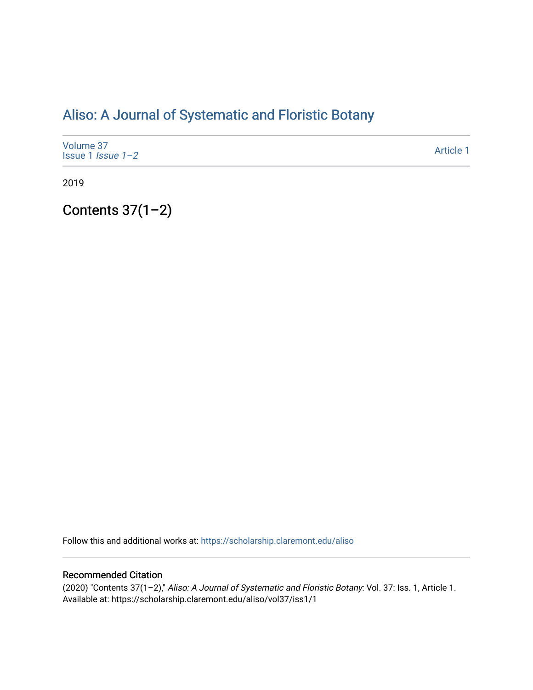# [Aliso: A Journal of Systematic and Floristic Botany](https://scholarship.claremont.edu/aliso)

| Volume 37<br>Issue 1 <i>Issue</i> $1-2$ | Article 1 |
|-----------------------------------------|-----------|
|-----------------------------------------|-----------|

2019

## Contents 37(1–2)

Follow this and additional works at: [https://scholarship.claremont.edu/aliso](https://scholarship.claremont.edu/aliso?utm_source=scholarship.claremont.edu%2Faliso%2Fvol37%2Fiss1%2F1&utm_medium=PDF&utm_campaign=PDFCoverPages) 

### Recommended Citation

(2020) "Contents 37(1–2)," Aliso: A Journal of Systematic and Floristic Botany: Vol. 37: Iss. 1, Article 1. Available at: https://scholarship.claremont.edu/aliso/vol37/iss1/1